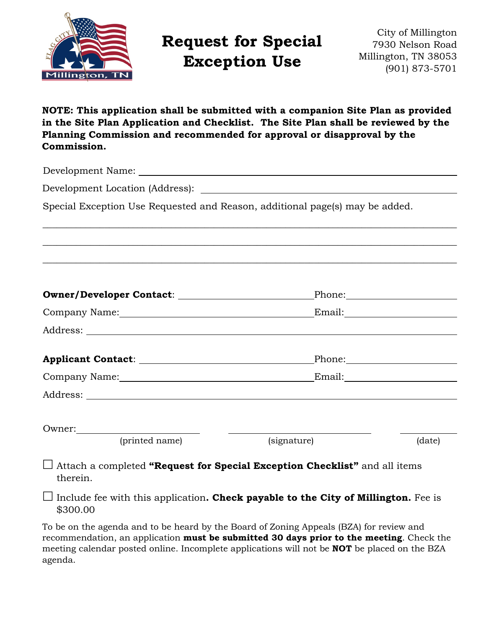

# **Request for Special Exception Use**

City of Millington 7930 Nelson Road Millington, TN 38053 (901) 873-5701

**NOTE: This application shall be submitted with a companion Site Plan as provided in the Site Plan Application and Checklist. The Site Plan shall be reviewed by the Planning Commission and recommended for approval or disapproval by the Commission.** 

\_\_\_\_\_\_\_\_\_\_\_\_\_\_\_\_\_\_\_\_\_\_\_\_\_\_\_\_\_\_\_\_\_\_\_\_\_\_\_\_\_\_\_\_\_\_\_\_\_\_\_\_\_\_\_\_\_\_\_\_\_\_\_\_\_\_\_\_\_\_\_\_\_\_\_\_\_\_\_\_\_\_\_\_\_\_\_

\_\_\_\_\_\_\_\_\_\_\_\_\_\_\_\_\_\_\_\_\_\_\_\_\_\_\_\_\_\_\_\_\_\_\_\_\_\_\_\_\_\_\_\_\_\_\_\_\_\_\_\_\_\_\_\_\_\_\_\_\_\_\_\_\_\_\_\_\_\_\_\_\_\_\_\_\_\_\_\_\_\_\_\_\_\_\_

\_\_\_\_\_\_\_\_\_\_\_\_\_\_\_\_\_\_\_\_\_\_\_\_\_\_\_\_\_\_\_\_\_\_\_\_\_\_\_\_\_\_\_\_\_\_\_\_\_\_\_\_\_\_\_\_\_\_\_\_\_\_\_\_\_\_\_\_\_\_\_\_\_\_\_\_\_\_\_\_\_\_\_\_\_\_\_

Development Name:

Development Location (Address):

Special Exception Use Requested and Reason, additional page(s) may be added.

|                                                                                                                                                                                                                                |             | Phone: 2000 Phone: 2000 Phone: 2000 Phone: 2000 Phone: 2000 Phone: 2000 Phone: 2000 Phone: 2000 Phone: 2000 Phone: 2000 Phone: 2000 Phone: 2000 Phone: 2000 Phone: 2000 Phone: 2000 Phone: 2000 Phone: 2000 Phone: 2000 Phone: |
|--------------------------------------------------------------------------------------------------------------------------------------------------------------------------------------------------------------------------------|-------------|--------------------------------------------------------------------------------------------------------------------------------------------------------------------------------------------------------------------------------|
|                                                                                                                                                                                                                                |             |                                                                                                                                                                                                                                |
|                                                                                                                                                                                                                                |             |                                                                                                                                                                                                                                |
|                                                                                                                                                                                                                                |             |                                                                                                                                                                                                                                |
| Company Name: Name: Name Service Company Name: Name Service Company Name Service Company Name (Name of Service Company Name of Service Company Name of Service Company Name of Service Company Name of Service Company Name of |             |                                                                                                                                                                                                                                |
|                                                                                                                                                                                                                                |             |                                                                                                                                                                                                                                |
| Owner:                                                                                                                                                                                                                         |             |                                                                                                                                                                                                                                |
| (printed name)                                                                                                                                                                                                                 | (signature) | (date)                                                                                                                                                                                                                         |

 Attach a completed **"Request for Special Exception Checklist"** and all items therein.

 $\Box$  Include fee with this application. **Check payable to the City of Millington.** Fee is \$300.00

To be on the agenda and to be heard by the Board of Zoning Appeals (BZA) for review and recommendation, an application **must be submitted 30 days prior to the meeting**. Check the meeting calendar posted online. Incomplete applications will not be **NOT** be placed on the BZA agenda.